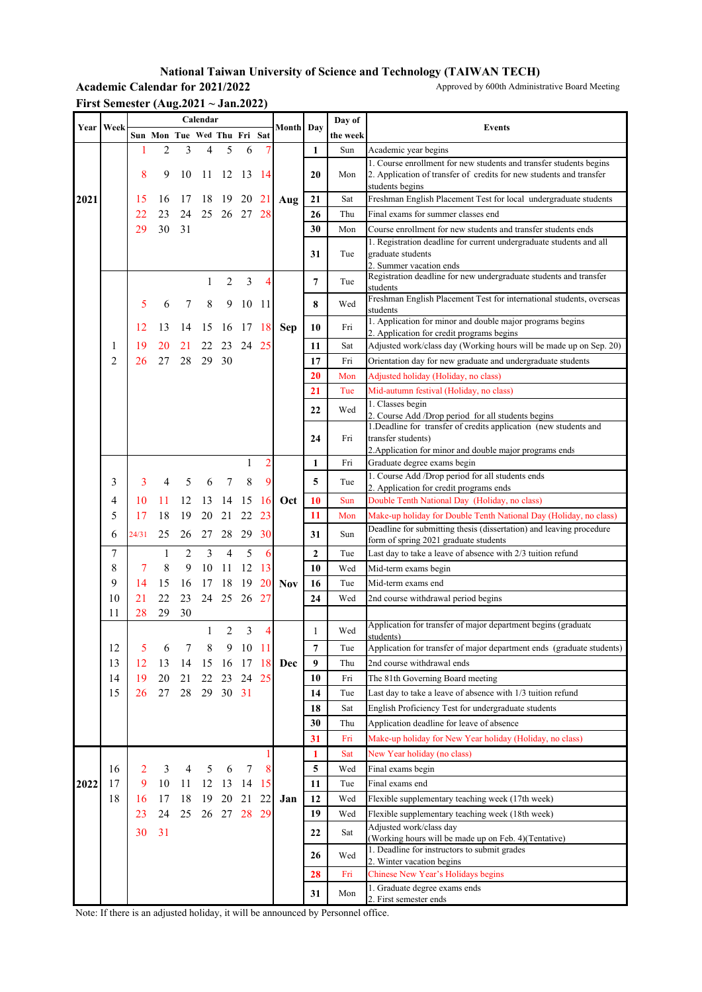## **National Taiwan University of Science and Technology (TAIWAN TECH)**

Academic Calendar for 2021/2022 Approved by 600th Administrative Board Meeting

| Year | Week |       |                             |    | Calendar |          |         |         | <b>Month</b> Day |              | Day of   | <b>Events</b>                                                                                                                                                |
|------|------|-------|-----------------------------|----|----------|----------|---------|---------|------------------|--------------|----------|--------------------------------------------------------------------------------------------------------------------------------------------------------------|
|      |      |       | Sun Mon Tue Wed Thu Fri Sat |    |          |          |         |         |                  |              | the week |                                                                                                                                                              |
|      |      |       | 2                           | 3  | 4        | 5        | 6       |         |                  | 1            | Sun      | Academic year begins                                                                                                                                         |
|      |      | 8     | 9                           | 10 | 11       |          | 12 13   | -14     |                  | 20           | Mon      | 1. Course enrollment for new students and transfer students begins<br>2. Application of transfer of credits for new students and transfer<br>students begins |
| 2021 |      | 15    | 16                          | 17 | 18       | 19       | 20      | 21      | Aug              | 21           | Sat      | Freshman English Placement Test for local undergraduate students                                                                                             |
|      |      | 22    | 23                          | 24 | 25       |          | 26 27   | 28      |                  | 26           | Thu      | Final exams for summer classes end                                                                                                                           |
|      |      | 29    | 30                          | 31 |          |          |         |         |                  | 30           | Mon      | Course enrollment for new students and transfer students ends                                                                                                |
|      |      |       |                             |    |          |          |         |         |                  | 31           | Tue      | 1. Registration deadline for current undergraduate students and all<br>graduate students<br>2. Summer vacation ends                                          |
|      |      |       |                             |    | 1        | 2        | 3       | 4       |                  | 7            | Tue      | Registration deadline for new undergraduate students and transfer<br>students                                                                                |
|      |      | 5     | 6                           | 7  | 8        | 9        | 10      | -11     |                  | 8            | Wed      | Freshman English Placement Test for international students, overseas<br>students                                                                             |
|      |      | 12    | 13                          | 14 | 15       | 16       | 17      | 18      | Sep              | 10           | Fri      | 1. Application for minor and double major programs begins<br>2. Application for credit programs begins                                                       |
|      | 1    | 19    | 20                          | 21 | 22       | 23       | 24      | 25      |                  | 11           | Sat      | Adjusted work/class day (Working hours will be made up on Sep. 20)                                                                                           |
|      | 2    | 26    | 27                          | 28 | 29       | 30       |         |         |                  | 17           | Fri      | Orientation day for new graduate and undergraduate students                                                                                                  |
|      |      |       |                             |    |          |          |         |         |                  | 20           | Mon      | Adjusted holiday (Holiday, no class)                                                                                                                         |
|      |      |       |                             |    |          |          |         |         |                  | 21           | Tue      | Mid-autumn festival (Holiday, no class)<br>1. Classes begin                                                                                                  |
|      |      |       |                             |    |          |          |         |         |                  | 22           | Wed      | 2. Course Add /Drop period for all students begins<br>1. Deadline for transfer of credits application (new students and                                      |
|      |      |       |                             |    |          |          |         |         |                  | 24           | Fri      | transfer students)<br>2. Application for minor and double major programs ends                                                                                |
|      |      |       |                             |    |          |          | 1       | 2       |                  | 1            | Fri      | Graduate degree exams begin                                                                                                                                  |
|      | 3    | 3     | 4                           | 5  | 6        | 7        | 8       | 9       |                  | 5            | Tue      | 1. Course Add /Drop period for all students ends<br>2. Application for credit programs ends                                                                  |
|      | 4    | 10    | 11                          | 12 | 13       | 14       | 15      | 16      | Oct              | 10           | Sun      | Double Tenth National Day (Holiday, no class)                                                                                                                |
|      | 5    | 17    | 18                          | 19 | 20       | 21       | 22      | 23      |                  | 11           | Mon      | Make-up holiday for Double Tenth National Day (Holiday, no class)                                                                                            |
|      | 6    | 24/31 | 25                          | 26 | 27       | 28       | 29      | 30      |                  | 31           | Sun      | Deadline for submitting thesis (dissertation) and leaving procedure<br>form of spring 2021 graduate students                                                 |
|      | 7    |       | 1                           | 2  | 3        | 4        | 5       | 6       |                  | $\mathbf{2}$ | Tue      | Last day to take a leave of absence with 2/3 tuition refund                                                                                                  |
|      | 8    | 7     | 8                           | 9  | 10       | 11       | 12      | 13      |                  | 10           | Wed      | Mid-term exams begin                                                                                                                                         |
|      | 9    | 14    | 15                          | 16 | 17       | 18       | 19      | 20      | <b>Nov</b>       | 16           | Tue      | Mid-term exams end                                                                                                                                           |
|      | 10   | 21    | 22                          | 23 | 24       | 25       | 26      | 27      |                  | 24           | Wed      | 2nd course withdrawal period begins                                                                                                                          |
|      | 11   | 28    | 29                          | 30 |          |          |         |         |                  |              |          |                                                                                                                                                              |
|      |      |       |                             |    | 1        | 2        | 3       | 4       |                  | 1            | Wed      | Application for transfer of major department begins (graduate<br>udante)                                                                                     |
|      | 12   | 5     | 6                           |    |          | 9.       | 10      | - 11    |                  | 7            | Tue      | Application for transfer of major department ends (graduate students)                                                                                        |
|      | 13   | 12    | 13                          | 14 | 15       | 16       | 17      | 18      | Dec              | 9            | Thu      | 2nd course withdrawal ends                                                                                                                                   |
|      | 14   | 19    | 20                          | 21 | 22       | 23       | 24      | 25      |                  | 10           | Fri      | The 81th Governing Board meeting                                                                                                                             |
|      | 15   | 26    | 27                          | 28 |          | 29 30 31 |         |         |                  | 14           | Tue      | Last day to take a leave of absence with 1/3 tuition refund                                                                                                  |
|      |      |       |                             |    |          |          |         |         |                  | 18           | Sat      | English Proficiency Test for undergraduate students                                                                                                          |
|      |      |       |                             |    |          |          |         |         |                  | 30           | Thu      | Application deadline for leave of absence                                                                                                                    |
|      |      |       |                             |    |          |          |         |         |                  | 31           | Fri      | Make-up holiday for New Year holiday (Holiday, no class)                                                                                                     |
|      |      |       |                             |    |          |          |         |         |                  | 1            | Sat      | New Year holiday (no class)                                                                                                                                  |
| 2022 | 16   | 2     | 3                           | 4  | 5        | 6        | 7<br>14 | 8<br>15 |                  | 5            | Wed      | Final exams begin                                                                                                                                            |
|      | 17   | 9     | 10                          | 11 | 12       | 13       |         |         |                  | 11           | Tue      | Final exams end                                                                                                                                              |
|      | 18   | 16    | 17                          | 18 | 19       | 20       | 21      | 22      | Jan              | 12           | Wed      | Flexible supplementary teaching week (17th week)                                                                                                             |
|      |      | 23    | 24                          | 25 | 26       | 27       | 28      | 29      |                  | 19           | Wed      | Flexible supplementary teaching week (18th week)                                                                                                             |
|      |      | 30    | 31                          |    |          |          |         |         |                  | 22           | Sat      | Adjusted work/class day<br>(Working hours will be made up on Feb. 4) (Tentative)                                                                             |
|      |      |       |                             |    |          |          |         |         |                  | 26           | Wed      | 1. Deadline for instructors to submit grades<br>2. Winter vacation begins                                                                                    |
|      |      |       |                             |    |          |          |         |         |                  | 28           | Fri      | Chinese New Year's Holidays begins                                                                                                                           |
|      |      |       |                             |    |          |          |         |         |                  | 31           | Mon      | 1. Graduate degree exams ends<br>2. First semester ends                                                                                                      |

**First Semester (Aug.2021 ~ Jan.2022)**

Note: If there is an adjusted holiday, it will be announced by Personnel office.